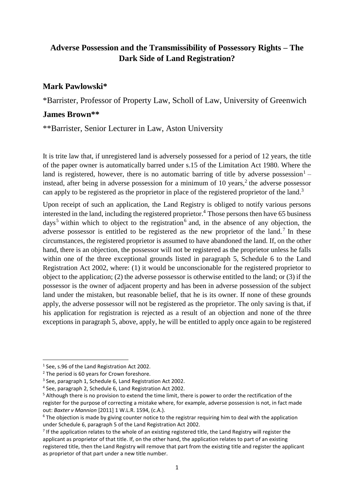# **Adverse Possession and the Transmissibility of Possessory Rights – The Dark Side of Land Registration?**

## **Mark Pawlowski\***

\*Barrister, Professor of Property Law, Scholl of Law, University of Greenwich

## **James Brown\*\***

\*\*Barrister, Senior Lecturer in Law, Aston University

It is trite law that, if unregistered land is adversely possessed for a period of 12 years, the title of the paper owner is automatically barred under s.15 of the Limitation Act 1980. Where the land is registered, however, there is no automatic barring of title by adverse possession<sup>1</sup> – instead, after being in adverse possession for a minimum of 10 years, $<sup>2</sup>$  the adverse possessor</sup> can apply to be registered as the proprietor in place of the registered proprietor of the land.<sup>3</sup>

Upon receipt of such an application, the Land Registry is obliged to notify various persons interested in the land, including the registered proprietor. <sup>4</sup> Those persons then have 65 business days<sup>5</sup> within which to object to the registration<sup>6</sup> and, in the absence of any objection, the adverse possessor is entitled to be registered as the new proprietor of the land.<sup>7</sup> In these circumstances, the registered proprietor is assumed to have abandoned the land. If, on the other hand, there is an objection, the possessor will not be registered as the proprietor unless he falls within one of the three exceptional grounds listed in paragraph 5, Schedule 6 to the Land Registration Act 2002, where: (1) it would be unconscionable for the registered proprietor to object to the application; (2) the adverse possessor is otherwise entitled to the land; or (3) if the possessor is the owner of adjacent property and has been in adverse possession of the subject land under the mistaken, but reasonable belief, that he is its owner. If none of these grounds apply, the adverse possessor will not be registered as the proprietor. The only saving is that, if his application for registration is rejected as a result of an objection and none of the three exceptions in paragraph 5, above, apply, he will be entitled to apply once again to be registered

<sup>1</sup> See, s.96 of the Land Registration Act 2002.

 $2$  The period is 60 years for Crown foreshore.

<sup>&</sup>lt;sup>3</sup> See, paragraph 1, Schedule 6, Land Registration Act 2002.

<sup>4</sup> See, paragraph 2, Schedule 6, Land Registration Act 2002.

<sup>&</sup>lt;sup>5</sup> Although there is no provision to extend the time limit, there is power to order the rectification of the register for the purpose of correcting a mistake where, for example, adverse possession is not, in fact made out: *Baxter v Mannion* [2011] 1 W.L.R. 1594, (c.A.).

<sup>&</sup>lt;sup>6</sup> The objection is made by giving counter notice to the registrar requiring him to deal with the application under Schedule 6, paragraph 5 of the Land Registration Act 2002.

<sup>&</sup>lt;sup>7</sup> If the application relates to the whole of an existing registered title, the Land Registry will register the applicant as proprietor of that title. If, on the other hand, the application relates to part of an existing registered title, then the Land Registry will remove that part from the existing title and register the applicant as proprietor of that part under a new title number.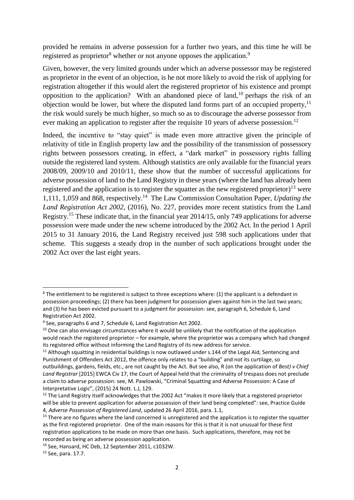provided he remains in adverse possession for a further two years, and this time he will be registered as proprietor<sup>8</sup> whether or not anyone opposes the application.<sup>9</sup>

Given, however, the very limited grounds under which an adverse possessor may be registered as proprietor in the event of an objection, is he not more likely to avoid the risk of applying for registration altogether if this would alert the registered proprietor of his existence and prompt opposition to the application? With an abandoned piece of land,  $10$  perhaps the risk of an objection would be lower, but where the disputed land forms part of an occupied property,  $11$ the risk would surely be much higher, so much so as to discourage the adverse possessor from ever making an application to register after the requisite 10 years of adverse possession.<sup>12</sup>

Indeed, the incentive to "stay quiet" is made even more attractive given the principle of relativity of title in English property law and the possibility of the transmission of possessory rights between possessors creating, in effect, a "dark market" in possessory rights falling outside the registered land system. Although statistics are only available for the financial years 2008/09, 2009/10 and 2010/11, these show that the number of successful applications for adverse possession of land to the Land Registry in these years (where the land has already been registered and the application is to register the squatter as the new registered proprietor)<sup>13</sup> were 1,111, 1,059 and 868, respectively.<sup>14</sup> The Law Commission Consultation Paper, *Updating the Land Registration Act 2002*, (2016), No. 227, provides more recent statistics from the Land Registry.<sup>15</sup> These indicate that, in the financial year 2014/15, only 749 applications for adverse possession were made under the new scheme introduced by the 2002 Act. In the period 1 April 2015 to 31 January 2016, the Land Registry received just 598 such applications under that scheme. This suggests a steady drop in the number of such applications brought under the 2002 Act over the last eight years.

<sup>&</sup>lt;sup>8</sup> The entitlement to be registered is subject to three exceptions where: (1) the applicant is a defendant in possession proceedings; (2) there has been judgment for possession given against him in the last two years; and (3) he has been evicted pursuant to a judgment for possession: see, paragraph 6, Schedule 6, Land Registration Act 2002.

<sup>&</sup>lt;sup>9</sup> See, paragraphs 6 and 7, Schedule 6, Land Registration Act 2002.

 $10$  One can also envisage circumstances where it would be unlikely that the notification of the application would reach the registered proprietor – for example, where the proprietor was a company which had changed its registered office without informing the Land Registry of its new address for service.

<sup>&</sup>lt;sup>11</sup> Although squatting in residential buildings is now outlawed under s.144 of the Legal Aid, Sentencing and Punishment of Offenders Act 2012, the offence only relates to a "building" and not its curtilage, so outbuildings, gardens, fields, etc., are not caught by the Act. But see also, R (on the application of *Best) v Chief Land Registrar* [2015] EWCA Civ 17, the Court of Appeal held that the criminality of trespass does not preclude a claim to adverse possession: see, M. Pawlowski, "Criminal Squatting and Adverse Possession: A Case of Interpretative Logic", (2015) 24 Nott. L.J, 129.

 $12$  The Land Registry itself acknowledges that the 2002 Act "makes it more likely that a registered proprietor will be able to prevent application for adverse possession of their land being completed": see, Practice Guide 4, *Adverse Possession of Registered Land*, updated 26 April 2016, para. 1.1,

<sup>&</sup>lt;sup>13</sup> There are no figures where the land concerned is unregistered and the application is to register the squatter as the first registered proprietor. One of the main reasons for this is that it is not unusual for these first registration applications to be made on more than one basis. Such applications, therefore, may not be recorded as being an adverse possession application.

<sup>14</sup> See, Hansard, HC Deb, 12 September 2011, c1032W.

<sup>15</sup> See, para. 17.7.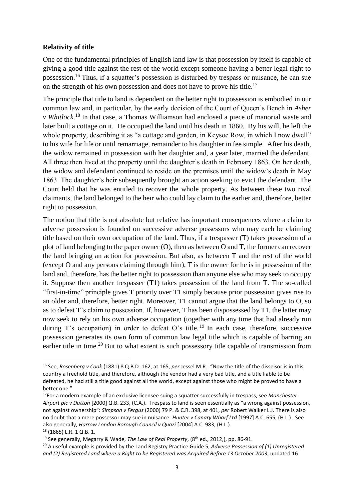### **Relativity of title**

One of the fundamental principles of English land law is that possession by itself is capable of giving a good title against the rest of the world except someone having a better legal right to possession.<sup>16</sup> Thus, if a squatter's possession is disturbed by trespass or nuisance, he can sue on the strength of his own possession and does not have to prove his title.<sup>17</sup>

The principle that title to land is dependent on the better right to possession is embodied in our common law and, in particular, by the early decision of the Court of Queen's Bench in *Asher v Whitlock*. <sup>18</sup> In that case, a Thomas Williamson had enclosed a piece of manorial waste and later built a cottage on it. He occupied the land until his death in 1860. By his will, he left the whole property, describing it as "a cottage and garden, in Keysoe Row, in which I now dwell" to his wife for life or until remarriage, remainder to his daughter in fee simple. After his death, the widow remained in possession with her daughter and, a year later, married the defendant. All three then lived at the property until the daughter's death in February 1863. On her death, the widow and defendant continued to reside on the premises until the widow's death in May 1863. The daughter's heir subsequently brought an action seeking to evict the defendant. The Court held that he was entitled to recover the whole property. As between these two rival claimants, the land belonged to the heir who could lay claim to the earlier and, therefore, better right to possession.

The notion that title is not absolute but relative has important consequences where a claim to adverse possession is founded on successive adverse possessors who may each be claiming title based on their own occupation of the land. Thus, if a trespasser (T) takes possession of a plot of land belonging to the paper owner (O), then as between O and T, the former can recover the land bringing an action for possession. But also, as between T and the rest of the world (except O and any persons claiming through him), T is the owner for he is in possession of the land and, therefore, has the better right to possession than anyone else who may seek to occupy it. Suppose then another trespasser (T1) takes possession of the land from T. The so-called "first-in-time" principle gives T priority over T1 simply because prior possession gives rise to an older and, therefore, better right. Moreover, T1 cannot argue that the land belongs to O, so as to defeat T's claim to possession. If, however, T has been dispossessed by T1, the latter may now seek to rely on his own adverse occupation (together with any time that had already run during T's occupation) in order to defeat O's title.<sup>19</sup> In each case, therefore, successive possession generates its own form of common law legal title which is capable of barring an earlier title in time.<sup>20</sup> But to what extent is such possessory title capable of transmission from

<sup>16</sup> See, *Rosenberg v Cook* (1881) 8 Q.B.D. 162, at 165, *per* Jessel M.R.: "Now the title of the disseisor is in this country a freehold title, and therefore, although the vendor had a very bad title, and a title liable to be defeated, he had still a title good against all the world, except against those who might be proved to have a better one."

<sup>17</sup>For a modern example of an exclusive licensee suing a squatter successfully in trespass, see *Manchester Airport plc v Dutton* [2000] Q.B. 233, (C.A.). Trespass to land is seen essentially as "a wrong against possession, not against ownership": *Simpson v Fergus* (2000) 79 P. & C.R. 398, at 401, *per* Robert Walker L.J. There is also no doubt that a mere possessor may sue in nuisance: *Hunter v Canary Wharf Ltd* [1997] A.C. 655, (H.L.). See also generally, *Harrow London Borough Council v Quazi* [2004] A.C. 983, (H.L.). <sup>18</sup> (1865) L.R. 1 Q.B. 1.

<sup>19</sup> See generally, Megarry & Wade, *The Law of Real Property*, (8th ed., 2012,), pp. 86-91.

<sup>20</sup> A useful example is provided by the Land Registry Practice Guide 5, *Adverse Possession of (1) Unregistered* 

*and (2) Registered Land where a Right to be Registered was Acquired Before 13 October 2003*, updated 16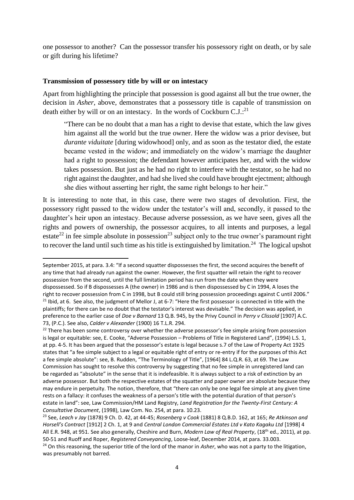one possessor to another? Can the possessor transfer his possessory right on death, or by sale or gift during his lifetime?

#### **Transmission of possessory title by will or on intestacy**

Apart from highlighting the principle that possession is good against all but the true owner, the decision in *Asher*, above, demonstrates that a possessory title is capable of transmission on death either by will or on an intestacy. In the words of Cockburn  $C.J.^{21}$ 

"There can be no doubt that a man has a right to devise that estate, which the law gives him against all the world but the true owner. Here the widow was a prior devisee, but *durante viduitate* [during widowhood] only, and as soon as the testator died, the estate became vested in the widow; and immediately on the widow's marriage the daughter had a right to possession; the defendant however anticipates her, and with the widow takes possession. But just as he had no right to interfere with the testator, so he had no right against the daughter, and had she lived she could have brought ejectment; although she dies without asserting her right, the same right belongs to her heir."

It is interesting to note that, in this case, there were two stages of devolution. First, the possessory right passed to the widow under the testator's will and, secondly, it passed to the daughter's heir upon an intestacy. Because adverse possession, as we have seen, gives all the rights and powers of ownership, the possessor acquires, to all intents and purposes, a legal estate<sup>22</sup> in fee simple absolute in possession<sup>23</sup> subject only to the true owner's paramount right to recover the land until such time as his title is extinguished by limitation.<sup>24</sup> The logical upshot

<sup>-</sup>September 2015, at para. 3.4: "If a second squatter dispossesses the first, the second acquires the benefit of any time that had already run against the owner. However, the first squatter will retain the right to recover possession from the second, until the full limitation period has run from the date when they were dispossessed. So if B dispossesses A (the owner) in 1986 and is then dispossessed by C in 1994, A loses the right to recover possession from C in 1998, but B could still bring possession proceedings against C until 2006." <sup>21</sup> Ibid, at 6. See also, the judgment of Mellor J, at 6-7: "Here the first possessor is connected in title with the plaintiffs; for there can be no doubt that the testator's interest was devisable." The decision was applied, in preference to the earlier case of *Doe v Barnard* 13 Q.B. 945, by the Privy Council in *Perry v Clissold* [1907] A.C. 73, (P.C.). See also, *Calder v Alexander* (1900) 16 T.L.R. 294.

<sup>&</sup>lt;sup>22</sup> There has been some controversy over whether the adverse possessor's fee simple arising from possession is legal or equitable: see, E. Cooke, "Adverse Possession – Problems of Title in Registered Land", (1994) L.S. 1, at pp. 4-5. It has been argued that the possessor's estate is legal because s.7 of the Law of Property Act 1925 states that "a fee simple subject to a legal or equitable right of entry or re-entry if for the purposes of this Act a fee simple absolute": see, B. Rudden, "The Terminology of Title", [1964] 84 L.Q.R. 63, at 69. The Law Commission has sought to resolve this controversy by suggesting that no fee simple in unregistered land can be regarded as "absolute" in the sense that it is indefeasible. It is always subject to a risk of extinction by an adverse possessor. But both the respective estates of the squatter and paper owner are absolute because they may endure in perpetuity. The notion, therefore, that "there can only be one legal fee simple at any given time rests on a fallacy: it confuses the weakness of a person's title with the potential duration of that person's estate in land": see, Law Commission/HM Land Registry, *Land Registration for the Twenty-First Century: A Consultative Document*, (1998), Law Com. No. 254, at para. 10.23.

<sup>23</sup> See, *Leach v Jay* (1878) 9 Ch. D. 42, at 44-45; *Rosenberg v Cook* (1881) 8 Q.B.D. 162, at 165; *Re Atkinson and Horsell's Contract* [1912] 2 Ch. 1, at 9 and *Central London Commercial Estates Ltd v Kato Kagaku Ltd* [1998] 4 All E.R. 948, at 951. See also generally, Cheshire and Burn, *Modern Law of Real Property*, (18th ed., 2011), at pp. 50-51 and Ruoff and Roper, *Registered Conveyancing*, Loose-leaf, December 2014, at para. 33.003. <sup>24</sup> On this reasoning, the superior title of the lord of the manor in *Asher*, who was not a party to the litigation, was presumably not barred.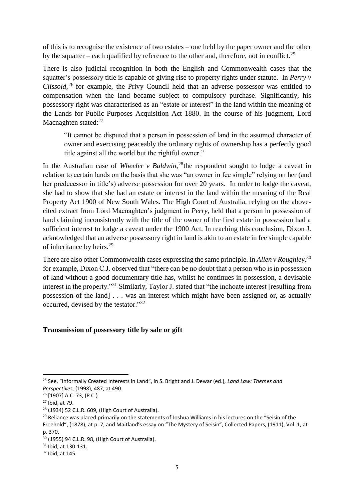of this is to recognise the existence of two estates – one held by the paper owner and the other by the squatter – each qualified by reference to the other and, therefore, not in conflict.<sup>25</sup>

There is also judicial recognition in both the English and Commonwealth cases that the squatter's possessory title is capable of giving rise to property rights under statute. In *Perry v*  Clissold,<sup>26</sup> for example, the Privy Council held that an adverse possessor was entitled to compensation when the land became subject to compulsory purchase. Significantly, his possessory right was characterised as an "estate or interest" in the land within the meaning of the Lands for Public Purposes Acquisition Act 1880. In the course of his judgment, Lord Macnaghten stated:<sup>27</sup>

"It cannot be disputed that a person in possession of land in the assumed character of owner and exercising peaceably the ordinary rights of ownership has a perfectly good title against all the world but the rightful owner."

In the Australian case of *Wheeler v Baldwin*<sup>28</sup>the respondent sought to lodge a caveat in relation to certain lands on the basis that she was "an owner in fee simple" relying on her (and her predecessor in title's) adverse possession for over 20 years. In order to lodge the caveat, she had to show that she had an estate or interest in the land within the meaning of the Real Property Act 1900 of New South Wales. The High Court of Australia, relying on the abovecited extract from Lord Macnaghten's judgment in *Perry*, held that a person in possession of land claiming inconsistently with the title of the owner of the first estate in possession had a sufficient interest to lodge a caveat under the 1900 Act. In reaching this conclusion, Dixon J. acknowledged that an adverse possessory right in land is akin to an estate in fee simple capable of inheritance by heirs.<sup>29</sup>

There are also other Commonwealth cases expressing the same principle. In *Allen v Roughley*, 30 for example, Dixon C.J. observed that "there can be no doubt that a person who is in possession of land without a good documentary title has, whilst he continues in possession, a devisable interest in the property."<sup>31</sup> Similarly, Taylor J. stated that "the inchoate interest [resulting from possession of the land] . . . was an interest which might have been assigned or, as actually occurred, devised by the testator."<sup>32</sup>

#### **Transmission of possessory title by sale or gift**

<sup>25</sup> See, "Informally Created Interests in Land", in S. Bright and J. Dewar (ed.), *Land Law: Themes and Perspectives*, (1998), 487, at 490.

<sup>26</sup> [1907] A.C. 73, (P.C.)

<sup>27</sup> Ibid, at 79.

<sup>28</sup> (1934) 52 C.L.R. 609, (High Court of Australia).

<sup>&</sup>lt;sup>29</sup> Reliance was placed primarily on the statements of Joshua Williams in his lectures on the "Seisin of the Freehold", (1878), at p. 7, and Maitland's essay on "The Mystery of Seisin", Collected Papers, (1911), Vol. 1, at p. 370.

<sup>30</sup> (1955) 94 C.L.R. 98, (High Court of Australia).

 $31$  Ibid, at 130-131.

<sup>32</sup> Ibid, at 145.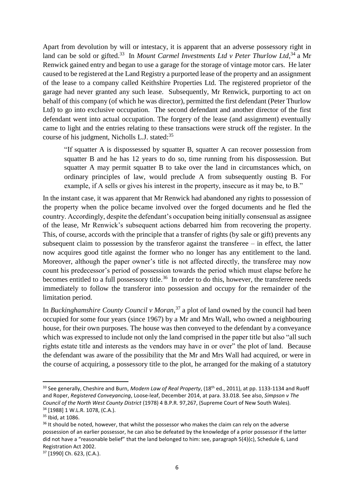Apart from devolution by will or intestacy, it is apparent that an adverse possessory right in land can be sold or gifted.<sup>33</sup> In *Mount Carmel Investments Ltd v Peter Thurlow Ltd*,<sup>34</sup> a Mr Renwick gained entry and began to use a garage for the storage of vintage motor cars. He later caused to be registered at the Land Registry a purported lease of the property and an assignment of the lease to a company called Keithshire Properties Ltd. The registered proprietor of the garage had never granted any such lease. Subsequently, Mr Renwick, purporting to act on behalf of this company (of which he was director), permitted the first defendant (Peter Thurlow Ltd) to go into exclusive occupation. The second defendant and another director of the first defendant went into actual occupation. The forgery of the lease (and assignment) eventually came to light and the entries relating to these transactions were struck off the register. In the course of his judgment, Nicholls L.J. stated:<sup>35</sup>

"If squatter A is dispossessed by squatter B, squatter A can recover possession from squatter B and he has 12 years to do so, time running from his dispossession. But squatter A may permit squatter B to take over the land in circumstances which, on ordinary principles of law, would preclude A from subsequently ousting B. For example, if A sells or gives his interest in the property, insecure as it may be, to B."

In the instant case, it was apparent that Mr Renwick had abandoned any rights to possession of the property when the police became involved over the forged documents and he fled the country. Accordingly, despite the defendant's occupation being initially consensual as assignee of the lease, Mr Renwick's subsequent actions debarred him from recovering the property. This, of course, accords with the principle that a transfer of rights (by sale or gift) prevents any subsequent claim to possession by the transferor against the transferee  $-$  in effect, the latter now acquires good title against the former who no longer has any entitlement to the land. Moreover, although the paper owner's title is not affected directly, the transferee may now count his predecessor's period of possession towards the period which must elapse before he becomes entitled to a full possessory title.<sup>36</sup> In order to do this, however, the transferee needs immediately to follow the transferor into possession and occupy for the remainder of the limitation period.

In *Buckinghamshire County Council v Moran*, <sup>37</sup> a plot of land owned by the council had been occupied for some four years (since 1967) by a Mr and Mrs Wall, who owned a neighbouring house, for their own purposes. The house was then conveyed to the defendant by a conveyance which was expressed to include not only the land comprised in the paper title but also "all such rights estate title and interests as the vendors may have in or over" the plot of land. Because the defendant was aware of the possibility that the Mr and Mrs Wall had acquired, or were in the course of acquiring, a possessory title to the plot, he arranged for the making of a statutory

-

<sup>33</sup> See generally, Cheshire and Burn, *Modern Law of Real Property*, (18th ed., 2011), at pp. 1133-1134 and Ruoff and Roper, *Registered Conveyancing*, Loose-leaf, December 2014, at para. 33.018. See also, *Simpson v The Council of the North West County District* (1978) 4 B.P.R. 97,267, (Supreme Court of New South Wales). <sup>34</sup> [1988] 1 W.L.R. 1078, (C.A.).

<sup>&</sup>lt;sup>35</sup> Ibid, at 1086.

<sup>&</sup>lt;sup>36</sup> It should be noted, however, that whilst the possessor who makes the claim can rely on the adverse possession of an earlier possessor, he can also be defeated by the knowledge of a prior possessor if the latter did not have a "reasonable belief" that the land belonged to him: see, paragraph 5(4)(c), Schedule 6, Land Registration Act 2002.

<sup>37</sup> [1990] Ch. 623, (C.A.).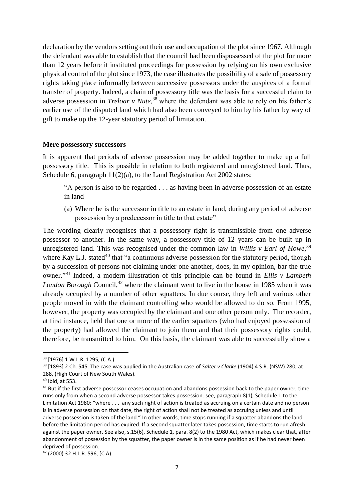declaration by the vendors setting out their use and occupation of the plot since 1967. Although the defendant was able to establish that the council had been dispossessed of the plot for more than 12 years before it instituted proceedings for possession by relying on his own exclusive physical control of the plot since 1973, the case illustrates the possibility of a sale of possessory rights taking place informally between successive possessors under the auspices of a formal transfer of property. Indeed, a chain of possessory title was the basis for a successful claim to adverse possession in *Treloar v Nute*, <sup>38</sup> where the defendant was able to rely on his father's earlier use of the disputed land which had also been conveyed to him by his father by way of gift to make up the 12-year statutory period of limitation.

#### **Mere possessory successors**

It is apparent that periods of adverse possession may be added together to make up a full possessory title. This is possible in relation to both registered and unregistered land. Thus, Schedule 6, paragraph  $11(2)(a)$ , to the Land Registration Act 2002 states:

"A person is also to be regarded . . . as having been in adverse possession of an estate in land –

(a) Where he is the successor in title to an estate in land, during any period of adverse possession by a predecessor in title to that estate"

The wording clearly recognises that a possessory right is transmissible from one adverse possessor to another. In the same way, a possessory title of 12 years can be built up in unregistered land. This was recognised under the common law in *Willis v Earl of Howe*,<sup>39</sup> where Kay L.J. stated<sup>40</sup> that "a continuous adverse possession for the statutory period, though by a succession of persons not claiming under one another, does, in my opinion, bar the true owner."<sup>41</sup> Indeed, a modern illustration of this principle can be found in *Ellis v Lambeth London Borough* Council, <sup>42</sup> where the claimant went to live in the house in 1985 when it was already occupied by a number of other squatters. In due course, they left and various other people moved in with the claimant controlling who would be allowed to do so. From 1995, however, the property was occupied by the claimant and one other person only. The recorder, at first instance, held that one or more of the earlier squatters (who had enjoyed possession of the property) had allowed the claimant to join them and that their possessory rights could, therefore, be transmitted to him. On this basis, the claimant was able to successfully show a

-

<sup>38</sup> [1976] 1 W.L.R. 1295, (C.A.).

<sup>39</sup> [1893] 2 Ch. 545. The case was applied in the Australian case of *Salter v Clarke* (1904) 4 S.R. (NSW) 280, at 288, (High Court of New South Wales).

<sup>40</sup> Ibid, at 553.

<sup>&</sup>lt;sup>41</sup> But if the first adverse possessor ceases occupation and abandons possession back to the paper owner, time runs only from when a second adverse possessor takes possession: see, paragraph 8(1), Schedule 1 to the Limitation Act 1980: "where . . . any such right of action is treated as accruing on a certain date and no person is in adverse possession on that date, the right of action shall not be treated as accruing unless and until adverse possession is taken of the land." In other words, time stops running if a squatter abandons the land before the limitation period has expired. If a second squatter later takes possession, time starts to run afresh against the paper owner. See also, s.15(6), Schedule 1, para. 8(2) to the 1980 Act, which makes clear that, after abandonment of possession by the squatter, the paper owner is in the same position as if he had never been deprived of possession.

<sup>42</sup> (2000) 32 H.L.R. 596, (C.A).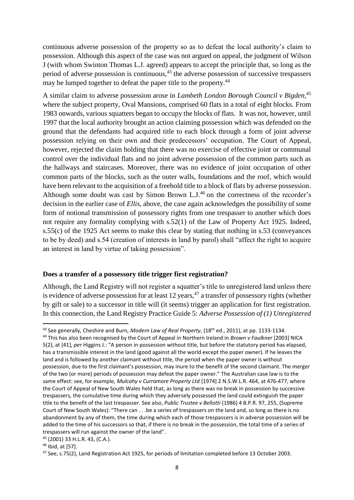continuous adverse possession of the property so as to defeat the local authority's claim to possession. Although this aspect of the case was not argued on appeal, the judgment of Wilson J (with whom Swinton Thomas L.J. agreed) appears to accept the principle that, so long as the period of adverse possession is continuous, $43$  the adverse possession of successive trespassers may be lumped together to defeat the paper title to the property.<sup>44</sup>

A similar claim to adverse possession arose in *Lambeth London Borough Council v Bigden*, 45 where the subject property, Oval Mansions, comprised 60 flats in a total of eight blocks. From 1983 onwards, various squatters began to occupy the blocks of flats. It was not, however, until 1997 that the local authority brought an action claiming possession which was defended on the ground that the defendants had acquired title to each block through a form of joint adverse possession relying on their own and their predecessors' occupation. The Court of Appeal, however, rejected the claim holding that there was no exercise of effective joint or communal control over the individual flats and no joint adverse possession of the common parts such as the hallways and staircases. Moreover, there was no evidence of joint occupation of other common parts of the blocks, such as the outer walls, foundations and the roof, which would have been relevant to the acquisition of a freehold title to a block of flats by adverse possession. Although some doubt was cast by Simon Brown L.J.<sup>46</sup> on the correctness of the recorder's decision in the earlier case of *Ellis*, above, the case again acknowledges the possibility of some form of notional transmission of possessory rights from one trespasser to another which does not require any formality complying with s.52(1) of the Law of Property Act 1925. Indeed, s.55(c) of the 1925 Act seems to make this clear by stating that nothing in s.53 (conveyances to be by deed) and s.54 (creation of interests in land by parol) shall "affect the right to acquire an interest in land by virtue of taking possession".

#### **Does a transfer of a possessory title trigger first registration?**

Although, the Land Registry will not register a squatter's title to unregistered land unless there is evidence of adverse possession for at least 12 years,  $47$  a transfer of possessory rights (whether by gift or sale) to a successor in title will (it seems) trigger an application for first registration. In this connection, the Land Registry Practice Guide 5: *Adverse Possession of (1) Unregistered* 

*<sup>43</sup>* See generally, Cheshire and Burn*, Modern Law of Real Property*, (18th ed., 2011), at pp. 1133-1134.

<sup>44</sup> This has also been recognised by the Court of Appeal in Northern Ireland in *Brown v Faulkner* [2003] NICA 5(2), at [41], *per* Higgins J.: "A person in possession without title, but before the statutory period has elapsed, has a transmissible interest in the land (good against all the world except the paper owner). If he leaves the land and is followed by another claimant without title, the period when the paper owner is without possession, due to the first claimant's possession, may inure to the benefit of the second claimant. The merger of the two (or more) periods of possession may defeat the paper owner." The Australian case law is to the same effect: see, for example, *Mulcahy v Curramore Property Ltd* [1974] 2 N.S.W.L.R. 464, at 476-477, where the Court of Appeal of New South Wales held that, as long as there was no break in possession by successive trespassers, the cumulative time during which they adversely possessed the land could extinguish the paper title to the benefit of the last trespasser. See also, *Public Trustee v Bellotti* (1986) 4 B.P.R. 97, 255, (Supreme Court of New South Wales): "There can . . .be a series of trespassers on the land and, so long as there is no abandonment by any of them, the time during which each of those trespassers is in adverse possession will be added to the time of his successors so that, if there is no break in the possession, the total time of a series of trespassers will run against the owner of the land".

<sup>45</sup> (2001) 33 H.L.R. 43, (C.A.).

 $46$  Ibid, at [57].

<sup>47</sup> See, s.75(2), Land Registration Act 1925, for periods of limitation completed before 13 October 2003.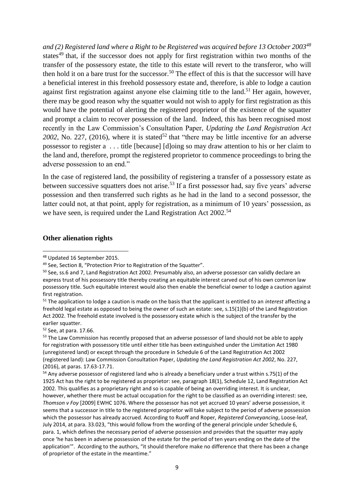*and (2) Registered land where a Right to be Registered was acquired before 13 October 2003<sup>48</sup>* states<sup>49</sup> that, if the successor does not apply for first registration within two months of the transfer of the possessory estate, the title to this estate will revert to the transferor, who will then hold it on a bare trust for the successor.<sup>50</sup> The effect of this is that the successor will have a beneficial interest in this freehold possessory estate and, therefore, is able to lodge a caution against first registration against anyone else claiming title to the land.<sup>51</sup> Her again, however, there may be good reason why the squatter would not wish to apply for first registration as this would have the potential of alerting the registered proprietor of the existence of the squatter and prompt a claim to recover possession of the land. Indeed, this has been recognised most recently in the Law Commission's Consultation Paper, *Updating the Land Registration Act*   $2002$ , No. 227, (2016), where it is stated<sup>52</sup> that "there may be little incentive for an adverse possessor to register a . . . title [because] [d]oing so may draw attention to his or her claim to the land and, therefore, prompt the registered proprietor to commence proceedings to bring the adverse possession to an end."

In the case of registered land, the possibility of registering a transfer of a possessory estate as between successive squatters does not arise.<sup>53</sup> If a first possessor had, say five years' adverse possession and then transferred such rights as he had in the land to a second possessor, the latter could not, at that point, apply for registration, as a minimum of 10 years' possession, as we have seen, is required under the Land Registration Act 2002.<sup>54</sup>

#### **Other alienation rights**

-

<sup>52</sup> See, at para. 17.66.

<sup>48</sup> Updated 16 September 2015.

<sup>49</sup> See, Section 8, "Protection Prior to Registration of the Squatter".

<sup>&</sup>lt;sup>50</sup> See, ss.6 and 7, Land Registration Act 2002. Presumably also, an adverse possessor can validly declare an express trust of his possessory title thereby creating an equitable interest carved out of his own common law possessory title. Such equitable interest would also then enable the beneficial owner to lodge a caution against first registration.

<sup>51</sup> The application to lodge a caution is made on the basis that the applicant is entitled to an *interest* affecting a freehold legal estate as opposed to being the owner of such an estate: see, s.15(1)(b) of the Land Registration Act 2002. The freehold estate involved is the possessory estate which is the subject of the transfer by the earlier squatter.

<sup>&</sup>lt;sup>53</sup> The Law Commission has recently proposed that an adverse possessor of land should not be able to apply for registration with possessory title until either title has been extinguished under the Limitation Act 1980 (unregistered land) or except through the procedure in Schedule 6 of the Land Registration Act 2002 (registered land): Law Commission Consultation Paper, *Updating the Land Registration Act 2002*, No. 227, (2016), at paras. 17.63-17.71.

<sup>&</sup>lt;sup>54</sup> Any adverse possessor of registered land who is already a beneficiary under a trust within s.75(1) of the 1925 Act has the right to be registered as proprietor: see, paragraph 18(1), Schedule 12, Land Registration Act 2002. This qualifies as a proprietary right and so is capable of being an overriding interest. It is unclear, however, whether there must be actual occupation for the right to be classified as an overriding interest: see, *Thomson v Foy* [2009] EWHC 1076. Where the possessor has not yet accrued 10 years' adverse possession, it seems that a successor in title to the registered proprietor will take subject to the period of adverse possession which the possessor has already accrued. According to Ruoff and Roper*, Registered Conveyancing*, Loose-leaf, July 2014, at para. 33.023, "this would follow from the wording of the general principle under Schedule 6, para. 1, which defines the necessary period of adverse possession and provides that the squatter may apply once 'he has been in adverse possession of the estate for the period of ten years ending on the date of the application'". According to the authors, "it should therefore make no difference that there has been a change of proprietor of the estate in the meantime."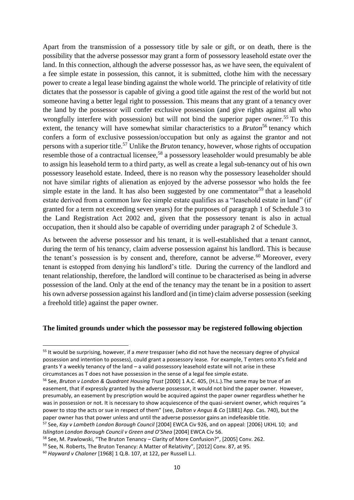Apart from the transmission of a possessory title by sale or gift, or on death, there is the possibility that the adverse possessor may grant a form of possessory leasehold estate over the land. In this connection, although the adverse possessor has, as we have seen, the equivalent of a fee simple estate in possession, this cannot, it is submitted, clothe him with the necessary power to create a legal lease binding against the whole world. The principle of relativity of title dictates that the possessor is capable of giving a good title against the rest of the world but not someone having a better legal right to possession. This means that any grant of a tenancy over the land by the possessor will confer exclusive possession (and give rights against all who wrongfully interfere with possession) but will not bind the superior paper owner.<sup>55</sup> To this extent, the tenancy will have somewhat similar characteristics to a *Bruton*<sup>56</sup> tenancy which confers a form of exclusive possession/occupation but only as against the grantor and not persons with a superior title.<sup>57</sup> Unlike the *Bruton* tenancy, however, whose rights of occupation resemble those of a contractual licensee,<sup>58</sup> a possessory leaseholder would presumably be able to assign his leasehold term to a third party, as well as create a legal sub-tenancy out of his own possessory leasehold estate. Indeed, there is no reason why the possessory leaseholder should not have similar rights of alienation as enjoyed by the adverse possessor who holds the fee simple estate in the land. It has also been suggested by one commentator<sup>59</sup> that a leasehold estate derived from a common law fee simple estate qualifies as a "leasehold estate in land" (if granted for a term not exceeding seven years) for the purposes of paragraph 1 of Schedule 3 to the Land Registration Act 2002 and, given that the possessory tenant is also in actual occupation, then it should also be capable of overriding under paragraph 2 of Schedule 3.

As between the adverse possessor and his tenant, it is well-established that a tenant cannot, during the term of his tenancy, claim adverse possession against his landlord. This is because the tenant's possession is by consent and, therefore, cannot be adverse.<sup>60</sup> Moreover, every tenant is estopped from denying his landlord's title. During the currency of the landlord and tenant relationship, therefore, the landlord will continue to be characterised as being in adverse possession of the land. Only at the end of the tenancy may the tenant be in a position to assert his own adverse possession against his landlord and (in time) claim adverse possession (seeking a freehold title) against the paper owner.

#### **The limited grounds under which the possessor may be registered following objection**

-

<sup>55</sup> It would be surprising, however, if a *mere* trespasser (who did not have the necessary degree of physical possession and intention to possess), could grant a possessory lease. For example, T enters onto X's field and grants Y a weekly tenancy of the land – a valid possessory leasehold estate will not arise in these circumstances as T does not have possession in the sense of a legal fee simple estate.

<sup>56</sup> See, *Bruton v London & Quadrant Housing Trust* [2000] 1 A.C. 405, (H.L.).The same may be true of an easement, that if expressly granted by the adverse possessor, it would not bind the paper owner. However, presumably, an easement by prescription would be acquired against the paper owner regardless whether he was in possession or not. It is necessary to show acquiescence of the quasi-servient owner, which requires "a power to stop the acts or sue in respect of them" (see, *Dalton v Angus & Co* [1881] App. Cas. 740), but the paper owner has that power unless and until the adverse possessor gains an indefeasible title.

<sup>57</sup> See, *Kay v Lambeth London Borough Council* [2004] EWCA Civ 926, and on appeal: [2006} UKHL 10; and *Islington London Borough Council v Green and O'Shea* [2004] EWCA Civ 56.

<sup>58</sup> See, M. Pawlowski, "The Bruton Tenancy – Clarity of More Confusion?", [2005] Conv. 262.

<sup>&</sup>lt;sup>59</sup> See, N. Roberts, The Bruton Tenancy: A Matter of Relativity", [2012] Conv. 87, at 95.

<sup>60</sup> *Hayward v Chaloner* [1968] 1 Q.B. 107, at 122, per Russell L.J.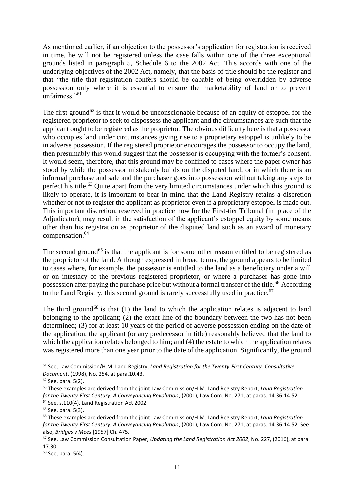As mentioned earlier, if an objection to the possessor's application for registration is received in time, he will not be registered unless the case falls within one of the three exceptional grounds listed in paragraph 5, Schedule 6 to the 2002 Act. This accords with one of the underlying objectives of the 2002 Act, namely, that the basis of title should be the register and that "the title that registration confers should be capable of being overridden by adverse possession only where it is essential to ensure the marketability of land or to prevent unfairness."<sup>61</sup>

The first ground<sup>62</sup> is that it would be unconscionable because of an equity of estoppel for the registered proprietor to seek to dispossess the applicant and the circumstances are such that the applicant ought to be registered as the proprietor. The obvious difficulty here is that a possessor who occupies land under circumstances giving rise to a proprietary estoppel is unlikely to be in adverse possession. If the registered proprietor encourages the possessor to occupy the land, then presumably this would suggest that the possessor is occupying with the former's consent. It would seem, therefore, that this ground may be confined to cases where the paper owner has stood by while the possessor mistakenly builds on the disputed land, or in which there is an informal purchase and sale and the purchaser goes into possession without taking any steps to perfect his title.<sup>63</sup> Quite apart from the very limited circumstances under which this ground is likely to operate, it is important to bear in mind that the Land Registry retains a discretion whether or not to register the applicant as proprietor even if a proprietary estoppel is made out. This important discretion, reserved in practice now for the First-tier Tribunal (in place of the Adjudicator), may result in the satisfaction of the applicant's estoppel equity by some means other than his registration as proprietor of the disputed land such as an award of monetary compensation. 64

The second ground<sup>65</sup> is that the applicant is for some other reason entitled to be registered as the proprietor of the land. Although expressed in broad terms, the ground appears to be limited to cases where, for example, the possessor is entitled to the land as a beneficiary under a will or on intestacy of the previous registered proprietor, or where a purchaser has gone into possession after paying the purchase price but without a formal transfer of the title.<sup>66</sup> According to the Land Registry, this second ground is rarely successfully used in practice.<sup>67</sup>

The third ground<sup>68</sup> is that  $(1)$  the land to which the application relates is adjacent to land belonging to the applicant; (2) the exact line of the boundary between the two has not been determined; (3) for at least 10 years of the period of adverse possession ending on the date of the application, the applicant (or any predecessor in title) reasonably believed that the land to which the application relates belonged to him; and (4) the estate to which the application relates was registered more than one year prior to the date of the application. Significantly, the ground

<sup>61</sup> See, Law Commission/H.M. Land Registry, *Land Registration for the Twenty-First Century: Consultative Document*, (1998), No. 254, at para.10.43.

 $62$  See, para, 5(2).

<sup>63</sup> These examples are derived from the joint Law Commission/H.M. Land Registry Report, *Land Registration for the Twenty-First Century: A Conveyancing Revolution*, (2001), Law Com. No. 271, at paras. 14.36-14.52. <sup>64</sup> See, s.110(4), Land Registration Act 2002.

 $65$  See, para. 5(3).

<sup>66</sup> These examples are derived from the joint Law Commission/H.M. Land Registry Report, *Land Registration for the Twenty-First Century: A Conveyancing Revolution*, (2001), Law Com. No. 271, at paras. 14.36-14.52. See also, *Bridges v Mees* [1957] Ch. 475.

<sup>67</sup> See, Law Commission Consultation Paper, *Updating the Land Registration Act 2002*, No. 227, (2016), at para. 17.30.

<sup>68</sup> See, para. 5(4).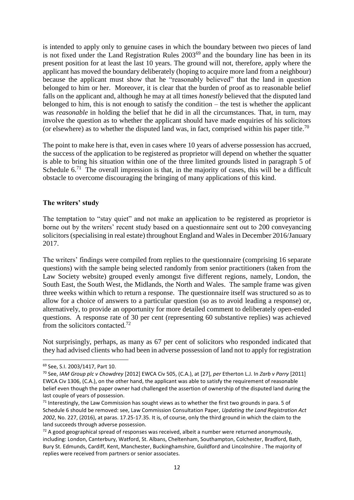is intended to apply only to genuine cases in which the boundary between two pieces of land is not fixed under the Land Registration Rules 2003<sup>69</sup> and the boundary line has been in its present position for at least the last 10 years. The ground will not, therefore, apply where the applicant has moved the boundary deliberately (hoping to acquire more land from a neighbour) because the applicant must show that he "reasonably believed" that the land in question belonged to him or her. Moreover, it is clear that the burden of proof as to reasonable belief falls on the applicant and, although he may at all times *honestly* believed that the disputed land belonged to him, this is not enough to satisfy the condition – the test is whether the applicant was *reasonable* in holding the belief that he did in all the circumstances. That, in turn, may involve the question as to whether the applicant should have made enquiries of his solicitors (or elsewhere) as to whether the disputed land was, in fact, comprised within his paper title.<sup>70</sup>

The point to make here is that, even in cases where 10 years of adverse possession has accrued, the success of the application to be registered as proprietor will depend on whether the squatter is able to bring his situation within one of the three limited grounds listed in paragraph 5 of Schedule  $6<sup>71</sup>$  The overall impression is that, in the majority of cases, this will be a difficult obstacle to overcome discouraging the bringing of many applications of this kind.

#### **The writers' study**

The temptation to "stay quiet" and not make an application to be registered as proprietor is borne out by the writers' recent study based on a questionnaire sent out to 200 conveyancing solicitors (specialising in real estate) throughout England and Wales in December 2016/January 2017.

The writers' findings were compiled from replies to the questionnaire (comprising 16 separate questions) with the sample being selected randomly from senior practitioners (taken from the Law Society website) grouped evenly amongst five different regions, namely, London, the South East, the South West, the Midlands, the North and Wales. The sample frame was given three weeks within which to return a response. The questionnaire itself was structured so as to allow for a choice of answers to a particular question (so as to avoid leading a response) or, alternatively, to provide an opportunity for more detailed comment to deliberately open-ended questions. A response rate of 30 per cent (representing 60 substantive replies) was achieved from the solicitors contacted.<sup>72</sup>

Not surprisingly, perhaps, as many as 67 per cent of solicitors who responded indicated that they had advised clients who had been in adverse possession of land not to apply for registration

<sup>69</sup> See, S.I. 2003/1417, Part 10.

<sup>70</sup> See, *IAM Group plc v Chowdrey* [2012] EWCA Civ 505, (C.A.), at [27], *per* Etherton L.J. In *Zarb v Parry* [2011] EWCA Civ 1306, (C.A.), on the other hand, the applicant was able to satisfy the requirement of reasonable belief even though the paper owner had challenged the assertion of ownership of the disputed land during the last couple of years of possession.

 $71$  Interestingly, the Law Commission has sought views as to whether the first two grounds in para. 5 of Schedule 6 should be removed: see, Law Commission Consultation Paper, *Updating the Land Registration Act 2002*, No. 227, (2016), at paras. 17.25-17.35. It is, of course, only the third ground in which the claim to the land succeeds through adverse possession.

 $72$  A good geographical spread of responses was received, albeit a number were returned anonymously, including: London, Canterbury, Watford, St. Albans, Cheltenham, Southampton, Colchester, Bradford, Bath, Bury St. Edmunds, Cardiff, Kent, Manchester, Buckinghamshire, Guildford and Lincolnshire . The majority of replies were received from partners or senior associates.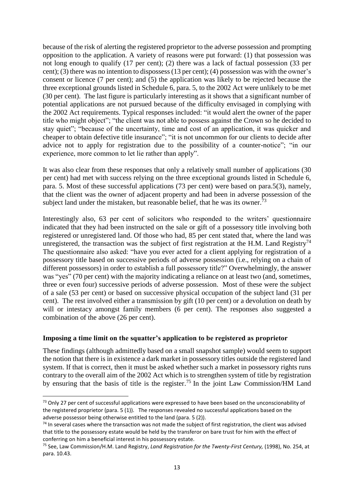because of the risk of alerting the registered proprietor to the adverse possession and prompting opposition to the application. A variety of reasons were put forward: (1) that possession was not long enough to qualify (17 per cent); (2) there was a lack of factual possession (33 per cent); (3) there was no intention to dispossess (13 per cent); (4) possession was with the owner's consent or licence (7 per cent); and (5) the application was likely to be rejected because the three exceptional grounds listed in Schedule 6, para. 5, to the 2002 Act were unlikely to be met (30 per cent). The last figure is particularly interesting as it shows that a significant number of potential applications are not pursued because of the difficulty envisaged in complying with the 2002 Act requirements. Typical responses included: "it would alert the owner of the paper title who might object"; "the client was not able to possess against the Crown so he decided to stay quiet"; "because of the uncertainty, time and cost of an application, it was quicker and cheaper to obtain defective title insurance"; "it is not uncommon for our clients to decide after advice not to apply for registration due to the possibility of a counter-notice"; "in our experience, more common to let lie rather than apply".

It was also clear from these responses that only a relatively small number of applications (30 per cent) had met with success relying on the three exceptional grounds listed in Schedule 6, para. 5. Most of these successful applications (73 per cent) were based on para.5(3), namely, that the client was the owner of adjacent property and had been in adverse possession of the subject land under the mistaken, but reasonable belief, that he was its owner.<sup>73</sup>

Interestingly also, 63 per cent of solicitors who responded to the writers' questionnaire indicated that they had been instructed on the sale or gift of a possessory title involving both registered or unregistered land. Of those who had, 85 per cent stated that, where the land was unregistered, the transaction was the subject of first registration at the H.M. Land Registry<sup>74</sup> The questionnaire also asked: "have you ever acted for a client applying for registration of a possessory title based on successive periods of adverse possession (i.e., relying on a chain of different possessors) in order to establish a full possessory title?" Overwhelmingly, the answer was "yes" (70 per cent) with the majority indicating a reliance on at least two (and, sometimes, three or even four) successive periods of adverse possession. Most of these were the subject of a sale (53 per cent) or based on successive physical occupation of the subject land (31 per cent). The rest involved either a transmission by gift (10 per cent) or a devolution on death by will or intestacy amongst family members (6 per cent). The responses also suggested a combination of the above (26 per cent).

#### **Imposing a time limit on the squatter's application to be registered as proprietor**

-

These findings (although admittedly based on a small snapshot sample) would seem to support the notion that there is in existence a dark market in possessory titles outside the registered land system. If that is correct, then it must be asked whether such a market in possessory rights runs contrary to the overall aim of the 2002 Act which is to strengthen system of title by registration by ensuring that the basis of title is the register.<sup>75</sup> In the joint Law Commission/HM Land

<sup>&</sup>lt;sup>73</sup> Only 27 per cent of successful applications were expressed to have been based on the unconscionability of the registered proprietor (para. 5 (1)). The responses revealed no successful applications based on the adverse possessor being otherwise entitled to the land (para. 5 (2)).

 $74$  In several cases where the transaction was not made the subject of first registration, the client was advised that title to the possessory estate would be held by the transferor on bare trust for him with the effect of conferring on him a beneficial interest in his possessory estate.

<sup>75</sup> See, Law Commission/H.M. Land Registry, *Land Registration for the Twenty-First Century,* (1998), No. 254, at para. 10.43.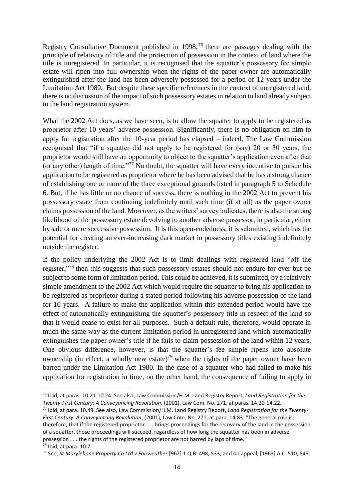Registry Consultative Document published in 1998,<sup>76</sup> there are passages dealing with the principle of relativity of title and the protection of possession in the context of land where the title is unregistered. In particular, it is recognised that the squatter's possessory fee simple estate will ripen into full ownership when the rights of the paper owner are automatically extinguished after the land has been adversely possessed for a period of 12 years under the Limitation Act 1980. But despite these specific references in the context of unregistered land, there is no discussion of the impact of such possessory estates in relation to land already subject to the land registration system.

What the 2002 Act does, as we have seen, is to allow the squatter to apply to be registered as proprietor after 10 years' adverse possession. Significantly, there is no obligation on him to apply for registration after the 10-year period has elapsed – indeed, The Law Commission recognised that "if a squatter did not apply to be registered for (say) 20 or 30 years, the proprietor would still have an opportunity to object to the squatter's application even after that (or any other) length of time."<sup>77</sup> No doubt, the squatter will have every incentive to pursue his application to be registered as proprietor where he has been advised that he has a strong chance of establishing one or more of the three exceptional grounds listed in paragraph 5 to Schedule 6. But, if he has little or no chance of success, there is nothing in the 2002 Act to prevent his possessory estate from continuing indefinitely until such time (if at all) as the paper owner claims possession of the land. Moreover, as the writers' survey indicates, there is also the strong likelihood of the possessory estate devolving to another adverse possessor, in particular, either by sale or mere successive possession. It is this open-endedness, it is submitted, which has the potential for creating an ever-increasing dark market in possessory titles existing indefinitely outside the register.

If the policy underlying the 2002 Act is to limit dealings with registered land "off the register."<sup>78</sup> then this suggests that such possessory estates should not endure for ever but be subject to some form of limitation period. This could be achieved, it is submitted, by a relatively simple amendment to the 2002 Act which would require the squatter to bring his application to be registered as proprietor during a stated period following his adverse possession of the land for 10 years. A failure to make the application within this extended period would have the effect of automatically extinguishing the squatter's possessory title in respect of the land so that it would cease to exist for all purposes. Such a default rule, therefore, would operate in much the same way as the current limitation period in unregistered land which automatically extinguishes the paper owner's title if he fails to claim possession of the land within 12 years. One obvious difference, however, is that the squatter's fee simple ripens into absolute ownership (in effect, a wholly new estate)<sup>79</sup> when the rights of the paper owner have been barred under the Limitation Act 1980. In the case of a squatter who had failed to make his application for registration in time, on the other hand, the consequence of failing to apply in

**<sup>.</sup>** <sup>76</sup> Ibid, at paras. 10.21-10.24. See also, Law Commission/H.M. Land Registry Report, *Land Registration for the Twenty-First Century: A Conveyancing Revolution*, (2001), Law Com. No. 271, at paras. 14.20-14.22.

<sup>77</sup> Ibid, at para. 10.49. See also, Law Commission/H.M. Land Registry Report, *Land Registration for the Twenty-First Century: A Conveyancing Revolution*, (2001), Law Com. No. 271, at para. 14.83: "The general rule is, therefore, that if the registered proprietor . . . brings proceedings for the recovery of the land in the possession of a squatter, those proceedings will succeed, regardless of how long the squatter has been in adverse possession . . . the rights of the registered proprietor are not barred by laps of time." <sup>78</sup> Ibid, at para. 10.7.

<sup>79</sup> See, *St Marylebone Property Co Ltd v Fairweather* [962] 1 Q.B. 498, 533; and on appeal, [1963] A.C. 510, 543.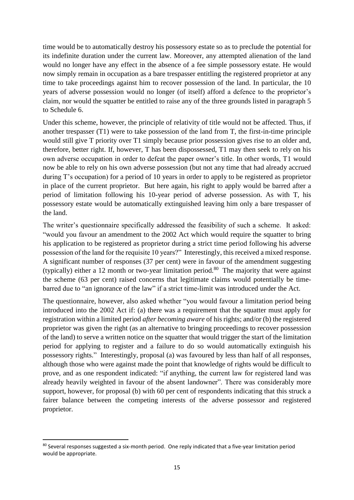time would be to automatically destroy his possessory estate so as to preclude the potential for its indefinite duration under the current law. Moreover, any attempted alienation of the land would no longer have any effect in the absence of a fee simple possessory estate. He would now simply remain in occupation as a bare trespasser entitling the registered proprietor at any time to take proceedings against him to recover possession of the land. In particular, the 10 years of adverse possession would no longer (of itself) afford a defence to the proprietor's claim, nor would the squatter be entitled to raise any of the three grounds listed in paragraph 5 to Schedule 6.

Under this scheme, however, the principle of relativity of title would not be affected. Thus, if another trespasser (T1) were to take possession of the land from T, the first-in-time principle would still give T priority over T1 simply because prior possession gives rise to an older and, therefore, better right. If, however, T has been dispossessed, T1 may then seek to rely on his own adverse occupation in order to defeat the paper owner's title. In other words, T1 would now be able to rely on his own adverse possession (but not any time that had already accrued during T's occupation) for a period of 10 years in order to apply to be registered as proprietor in place of the current proprietor. But here again, his right to apply would be barred after a period of limitation following his 10-year period of adverse possession. As with T, his possessory estate would be automatically extinguished leaving him only a bare trespasser of the land.

The writer's questionnaire specifically addressed the feasibility of such a scheme. It asked: "would you favour an amendment to the 2002 Act which would require the squatter to bring his application to be registered as proprietor during a strict time period following his adverse possession of the land for the requisite 10 years?" Interestingly, this received a mixed response. A significant number of responses (37 per cent) were in favour of the amendment suggesting (typically) either a 12 month or two-year limitation period.<sup>80</sup> The majority that were against the scheme (63 per cent) raised concerns that legitimate claims would potentially be timebarred due to "an ignorance of the law" if a strict time-limit was introduced under the Act.

The questionnaire, however, also asked whether "you would favour a limitation period being introduced into the 2002 Act if: (a) there was a requirement that the squatter must apply for registration within a limited period *after becoming aware* of his rights; and/or (b) the registered proprietor was given the right (as an alternative to bringing proceedings to recover possession of the land) to serve a written notice on the squatter that would trigger the start of the limitation period for applying to register and a failure to do so would automatically extinguish his possessory rights." Interestingly, proposal (a) was favoured by less than half of all responses, although those who were against made the point that knowledge of rights would be difficult to prove, and as one respondent indicated: "if anything, the current law for registered land was already heavily weighted in favour of the absent landowner". There was considerably more support, however, for proposal (b) with 60 per cent of respondents indicating that this struck a fairer balance between the competing interests of the adverse possessor and registered proprietor.

<sup>-</sup>80 Several responses suggested a six-month period. One reply indicated that a five-year limitation period would be appropriate.